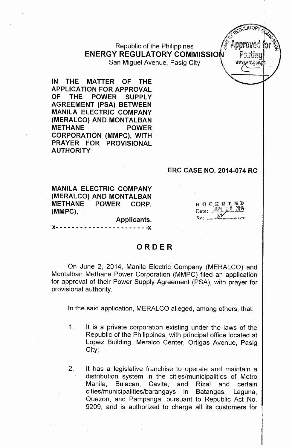Republic of the Philippines ENERGY REGULATORY COMMISSION San Miguel Avenue, Pasig City **Interpretate Media Avenue** 

IN THE MATTER OF THE APPLICATION FOR APPROVAL OF THE POWER SUPPLY AGREEMENT (PSA) BETWEEN MANILA ELECTRIC COMPANY (MERALCO) AND MONTALBAN METHANE POWER CORPORATION (MMPC), WITH PRAYER FOR PROVISIONAL AUTHORITY

#### ERC CASE NO. 2014-074 RC

 $\boldsymbol{p}$  o c  $\boldsymbol{K}$   $\boldsymbol{E}$   $\boldsymbol{T}$   $\boldsymbol{E}$   $\boldsymbol{E}$ Date: JUN 20

*~O\j\.ATORy*

t

 $2^7$ Ammound

 $\mathcal{J}_{\mathcal{M}}$  $\mathbb{S}^2$ 

MANILA ELECTRIC COMPANY (MERALCO) AND MONTALBAN METHANE POWER CORP. (MMPC),

Applicants.

)(- - - - - - - - - - - - - - - - - - - - - - -)(

# ORDER

On June 2, 2014, Manila Electric Company (MERALCO) and Montalba'n Methane Power Corporation (MMPC) filed an application for approval of their Power Supply Agreement (PSA), with prayer for provisional authority.

In the said application, MERALCO alleged, among others, that:

- 1. It is a private corporation existing under the laws of the Republic of the Philippines, with principal office located at Lopez Building, Meralco Center, Ortigas Avenue, Pasig City;
- 2. It has a legislative franchise to operate and maintain a distribution system in the cities/municipalities of Metro Manila, Bulacan, Cavite, and Rizal and certain cities/municipalities/barangays in Batangas, Laguna, Quezon, and Pampanga, pursuant to Republic Act No. 9209, and is authorized to charge all its customers for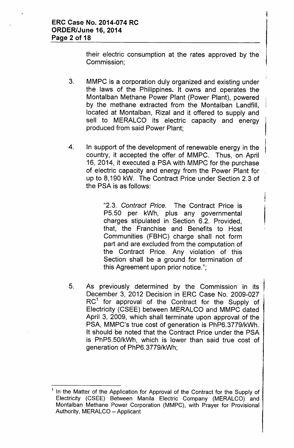their electric consumption at the rates approved by the Commission;

- 3. MMPC is a corporation duly organized and existing under the laws of the Philippines. It owns and operates the Montalban Methane Power Plant (Power Plant), powered by the methane extracted from the Montalban Landfill, located at Montalban, Rizal and it offered to supply and sell to MERALCO its electric capacity and energy produced from said Power Plant;
- 4. In support of the development of renewable energy in the country, it accepted the offer of MMPC. Thus, on April 16, 2014, it executed a PSA with MMPC for the purchase of electric capacity and energy from the Power Plant for up to 8,190 kW. The Contract Price under Section 2.3 of the PSA is as follows:

*"2.3. Contract Price.* The Contract Price is P5.50 per kWh, plus any governmental charges stipulated in Section 6.2. Provided, that, the Franchise and Benefits to Host Communities (FBHC) charge shall not form part and are excluded from the computation of the Contract Price. Any violation of this Section shall be a ground for termination of this Agreement upon prior notice.";

5. As previously determined by the Commission in its December 3, 2012 Decision in ERC Case No. 2009-027  $\mathsf{RC}^1$  for approval of the Contract for the Supply of Electricity (CSEE) between MERALCO and MMPC dated April 3, 2009, which shall terminate upon approval of the PSA, MMPC's true cost of generation is PhP6.3779/kWh. It should be noted that the Contract Price under the PSA is PhP5.50/kWh, which is lower than said true cost of generation of PhP6.3779/kWh;

<sup>&</sup>lt;sup>1</sup> In the Matter of the Application for Approval of the Contract for the Supply of Electricity (CSEE) Between Manila Electric Company (MERALCO) and Montalban Methane Power Corporation (MMPC), with Prayer for Provisional, Authority, MERALCO - Applicant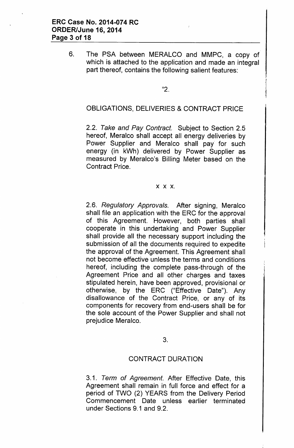6. The PSA between MERALCO and MMPC, a copy of which is attached to the application and made an integral part thereof, contains the following salient features:

#### "2.

# OBLIGATIONS, DELIVERIES & CONTRACT PRICE

*2.2. Take and Pay Contract.* Subject to Section 2.5 hereof, Meralco shall accept all energy deliveries by Power Supplier and Meralco shall pay for such energy (in kWh) delivered by Power Supplier as measured by Meralco's Billing Meter based on the Contract Price.

#### x x x.

*2.6. Regulatory Approvals.* After signing, Meralco shall file an application with the ERC for the approval of this Agreement. However, both parties shall cooperate in this undertaking and Power Supplier shall provide all the necessary support including the submission of all the documents required to expedite the approval of the Agreement. This Agreement shall not become effective unless the terms and conditions hereof, including the complete pass-through of the Agreement Price and all other charges and taxes stipulated herein, have been approved, provisional or otherwise, by the ERC ("Effective Date"). Any disallowance of the Contract Price, or any of its components for recovery from end-users shall be for the sole account of the Power Supplier and shall not prejudice Meralco.

## 3.

#### CONTRACT DURATION

*3.1. Term* of *Agreement.* After Effective Date, this Agreement shall remain in full force and effect for a period of TWO (2) YEARS from the Delivery Period Commencement Date unless earlier terminated under Sections 9.1 and 9.2.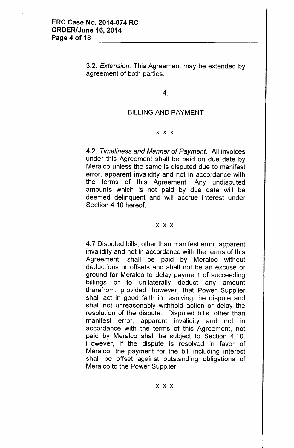*3.2. Extension.* This Agreement may be extended by agreement of both parties.

4.

# BILLING AND PAYMENT

#### x x x.

*4.2. Timeliness and Manner of Payment.* All invoices under this Agreement shall be paid on due date by Meralco unless the same is disputed due to manifest error, apparent invalidity and not in accordance with the terms of this Agreement. Any undisputed amounts which is not paid by due date will be deemed delinquent and will accrue interest under Section 4.10 hereof.

#### x x x.

4.7 Disputed bills, other than manifest error, apparent invalidity and not in accordance with the terms of this Agreement, shall be paid by Meralco without deductions or offsets and shall not be an excuse or ground for Meralco to delay payment of succeeding billings or to unilaterally deduct any amount therefrom, provided, however, that Power Supplier shall act in good faith in resolving the dispute and shall not unreasonably withhold action or delay the resolution of the dispute. Disputed bills, other than manifest error, apparent invalidity and not in accordance with the terms of this Agreement, not paid by Meralco shall be subject to Section 4.10. However, if the dispute is resolved in favor of Meralco, the payment for the bill including interest shall be offset against outstanding obligations of Meralco to the Power Supplier.

x x x.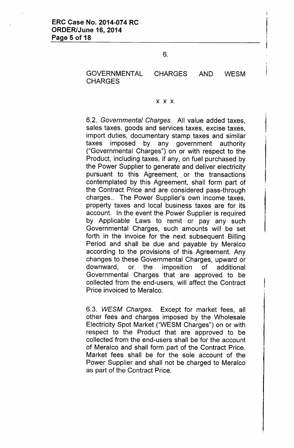## GOVERNMENTAL CHARGES AND WESM **CHARGES**

#### x x x.

*6.2. Governmental Charges.* All value added taxes, sales taxes, goods and services taxes, excise taxes, import duties, documentary stamp taxes and similar taxes imposed by any government authority ("Governmental Charges") on or with respect to the Product, including taxes, if any, on fuel purchased by the Power Supplier to generate and deliver electricity pursuant to this Agreement, or the transactions contemplated by this Agreement, shall form part of the Contract Price and are considered pass-through charges.. The Power Supplier's own income taxes, property taxes and local business taxes are for its account. In the event the Power Supplier is required by Applicable Laws to remit or pay any such Governmental Charges, such amounts will be set forth in the invoice for the next subsequent Billing Period and shall be due and payable by Meralco according to the provisions of this Agreement. Any changes to these Governmental Charges, upward or downward, or the imposition of additional Governmental Charges that are approved to be collected from the end-users, will affect the Contract Price invoiced to Meralco.

*6.3. WESM Charges.* Except for market fees, all other fees and charges imposed by the Wholesale Electricity Spot Market ("WESM Charges") on or with respect to the Product that are approved to be collected from the end-users shall be for the account of Meralco and shall form part of the Contract Price. Market fees shall be for the sole account of the Power Supplier and shall not be charged to Meralco as part of the Contract Price.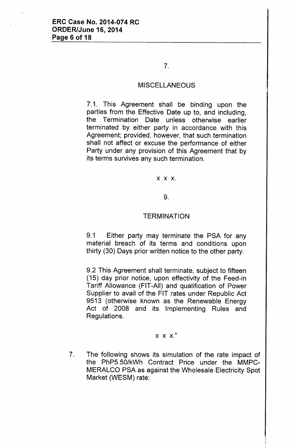# 7.

## **MISCELLANEOUS**

7.1. This Agreement shall be binding upon the parties from the Effective Date up to, and including, the Termination Date unless otherwise earlier terminated by either party in accordance with this Agreement; provided, however, that such termination shall not affect or excuse the performance of either Party under any provision of this Agreement that by its terms survives any such termination.

#### x x x.

#### 9.

#### **TERMINATION**

9.1 Either party may terminate the PSA for any material breach of its terms and conditions upon thirty (30) Days prior written notice to the other party.

9.2 This Agreement shall terminate, subject to fifteen (15) day prior notice, upon effectivity of the Feed-in Tariff Allowance (FIT-All) and qualification of Power Supplier to avail of the FIT rates under Republic Act 9513 (otherwise known as the Renewable Energy Act of 2008 and its Implementing Rules and Regulations.

#### x x x."

7. The following shows its simulation of the rate impact of the PhP5.50/kWh Contract Price under the MMPC-MERALCO PSA as against the Wholesale Electricity Spot Market (WESM) rate: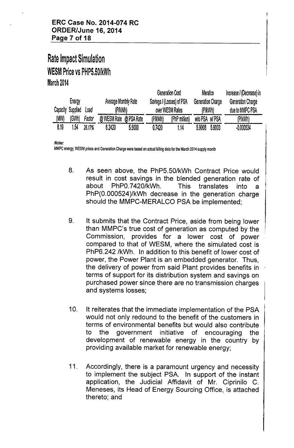# Rate Impact Simulation WESM Price vs PHP5.50/kWh March 2014

| Energy |                           |        | Average Monthly Rate   |        | Generation Cost<br>Savings / (Losses) of PSA |               | Meralco<br>Generation Charge |        | Increase / (Decrease) in<br>Generation Charge |
|--------|---------------------------|--------|------------------------|--------|----------------------------------------------|---------------|------------------------------|--------|-----------------------------------------------|
|        | Capacity Supplied<br>Load |        | (P/kWh)                |        | over WESM Rates                              |               | (P/kWh)                      |        | due to MMPC PSA                               |
| (MW)   | (GWh)                     | Factor | @ WESM Rate @ PSA Rate |        | (P/kWh)                                      | (PhP million) | WIO PSA WI PSA               |        | (P/kWh)                                       |
| 8.19   | 1.54                      | 26.17% | 6.2420                 | 5,5000 | 0.7420                                       | .14           | 5.9008                       | 5.9003 | $-0.000524$                                   |

*Notes:*

MMPC energy, WESM prices and Generation Charge were based on actual billing data for the March 2014 supply month

- 8. As seen above, the PhP5.50/kWh Contract Price would result in cost savings in the blended generation rate of about PhPO.7420/kWh. This translates into a PhP(O.000524)/kWh decrease in the generation charge should the MMPC-MERALCO PSA be implemented;
- 9. It submits that the Contract Price, aside from being lower than MMPC's true cost of generation as computed by the Commission, provides for a lower cost of power compared to that of WESM, where the simulated cost is PhP6.242/kWh. In addition to this benefit of lower cost of power, the Power Plant is an embedded generator. Thus, the delivery of power from said Plant provides benefits in ' terms of support for its distribution system and savings on purchased power since there are no transmission charges and systems losses;
- 10. It reiterates that the immediate implementation of the PSA would not only redound to the benefit of the customers in terms of environmental benefits but would also contribute to the government initiative of encouraging the development of renewable energy in the country by providing available market for renewable energy;
- 11. Accordingly, there is a paramount urgency and necessity to implement the subject PSA. In support of the instant application, the Judicial Affidavit of Mr. Ciprinilo C. Meneses, its Head of Energy Sourcing Office, is attached thereto; and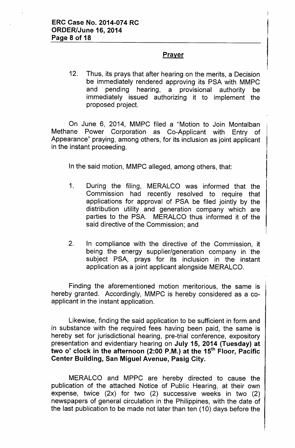# Prayer

12. Thus, its prays that after hearing on the merits, a Decision be immediately rendered approving its PSA with MMPC and pending hearing, a provisional authority be immediately issued authorizing it to implement the proposed project.

On June 6, 2014, MMPC filed a "Motion to Join Montalban Methane Power Corporation as Co-Applicant with Entry of Appearance" praying, among others, for its inclusion as joint applicant in the instant proceeding.

In the said motion, MMPC alleged, among others, that:

- 1. During the filing, MERALCO was informed that the Commission had recently resolved to require that applications for approval of PSA be filed jointly by the distribution utility and generation company which are parties to the PSA. MERALCO thus informed it of the said directive of the Commission; and
- 2. In compliance with the directive of the Commission, it being the energy supplier/generation company in the subject PSA, prays for its inclusion in the instant application as a joint applicant alongside MERALCO.

Finding the aforementioned motion meritorious, the same is hereby granted. Accordingly, MMPC is hereby considered as a coapplicant in the instant application.

Likewise, finding the said application to be sufficient in form and in substance with the required fees having been paid, the same is hereby set for jurisdictional hearing, pre-trial conference, expository presentation and evidentiary hearing on July 15, 2014 (Tuesday) at two o' clock in the afternoon (2:00 P.M.) at the 15<sup>th</sup> Floor, Pacific Center Building, San Miguel Avenue, Pasig City.

MERALCO and MPPC are hereby directed to cause the publication of the attached Notice of Public Hearing, at their own expense, twice (2x) for two (2) successive weeks in two (2) newspapers of general circulation in the Philippines, with the date of the last publication to be made not later than ten (10) days before the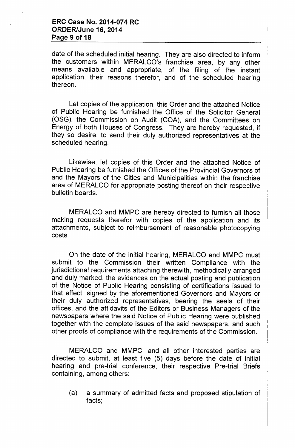date of the scheduled initial hearing. They are also directed to inform the customers within MERALCO's franchise area, by any other means available and appropriate, of the filing of the instant application, their reasons therefor, and of the scheduled hearing thereon.

Let copies of the application, this Order and the attached Notice of Public Hearing be furnished the Office of the Solicitor General (OSG), the Commission on Audit (COA), and the Committees on Energy of both Houses of Congress. They are hereby requested, if they so desire, to send their duly authorized representatives at the scheduled hearing.

Likewise, let copies of this Order and the attached Notice of Public Hearing be furnished the Offices of the Provincial Governors of and the Mayors of the Cities and Municipalities within the franchise area of MERALCO for appropriate posting thereof on their respective bulletin boards.

MERALCO and MMPC are hereby directed to furnish all those making requests therefor with copies of the application and its attachments, subject to reimbursement of reasonable photocopying costs.

On the date of the initial hearing, MERALCO and MMPC must submit to the Commission their written Compliance with the jurisdictional requirements attaching therewith, methodically arranged and duly marked, the evidences on the actual posting and publication of the Notice of Public Hearing consisting of certifications issued to that effect, signed by the aforementioned Governors and Mayors or their duly authorized representatives, bearing the seals of their offices, and the affidavits of the Editors or Business Managers of the newspapers where the said Notice of Public Hearing were published together with the complete issues of the said newspapers, and such other proofs of compliance with the requirements of the Commission.

MERALCO and MMPC, and all other interested parties are directed to submit, at least five (5) days before the date of initial hearing and pre-trial conference, their respective Pre-trial Briefs containing, among others:

(a) a summary of admitted facts and proposed stipulation of facts;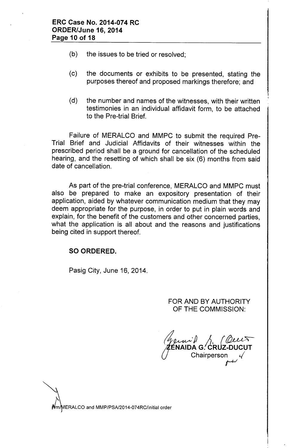- (b) the issues to be tried or resolved;
- (c) the documents or exhibits to be presented, stating the purposes thereof and proposed markings therefore; and
- (d) the number and names of the witnesses, with their written testimonies in an individual affidavit form, to be attached to the Pre-trial Brief.

Failure of MERALCO and MMPC to submit the required Pre-Trial Brief and Judicial Affidavits of their witnesses within the prescribed period shall be a ground for cancellation of the scheduled hearing, and the resetting of which shall be six (6) months from said date of cancellation.

As part of the pre-trial conference, MERALCO and MMPC must also be prepared to make an expository presentation of their application, aided by whatever communication medium that they may deem appropriate for the purpose, in order to put in plain words and explain, for the benefit of the customers and other concerned parties, what the application is all about and the reasons and justifications being cited in support thereof.

## SO ORDERED.

Pasig City, June 16, 2014.

FOR AND BY AUTHORITY OF THE COMMISSION:

 $\cup$  $\sqrt{2}$  /2 (Qu ∕≹ÉNAIDA G.′CRUZ-DUCU Chairperson *r-w*

*l* ERALCO and MMP/PSA/2014-074RC/initial order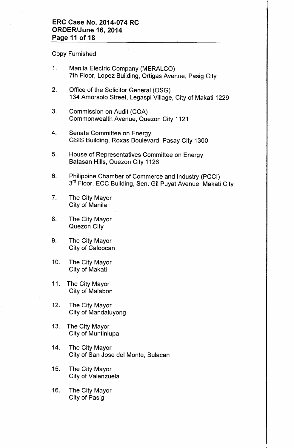## **ERC Case No. 2014-074 RC ORDER/June 16, 2014 Page 11 of 18**

Copy Furnished:

- 1. Manila Electric Company (MERALCO) 7th Floor, Lopez Building, Ortigas Avenue, Pasig City
- 2. Office of the Solicitor General (OSG) 134 Amorsolo Street, Legaspi Village, City of Makati 1229
- 3. Commission on Audit (COA) Commonwealth Avenue, Quezon City 1121
- 4. Senate Committee on Energy GSIS Building, Roxas Boulevard, Pasay City 1300
- 5. House of Representatives Committee on Energy Batasan Hills, Quezon City 1126
- 6. Philippine Chamber of Commerce and Industry (PCCI) 3<sup>rd</sup> Floor, ECC Building, Sen. Gil Puyat Avenue, Makati City
- 7. The City Mayor City of Manila
- 8. The City Mayor Quezon City
- 9. The City Mayor City of Caloocan
- 10. The City Mayor City of Makati
- 11. The City Mayor City of Malabon
- 12. The City Mayor City of Mandaluyong
- 13. The City Mayor City of Muntinlupa
- 14. The City Mayor City of San Jose del Monte, Bulacan
- 15. The City Mayor City of Valenzuela
- 16. The City Mayor City of Pasig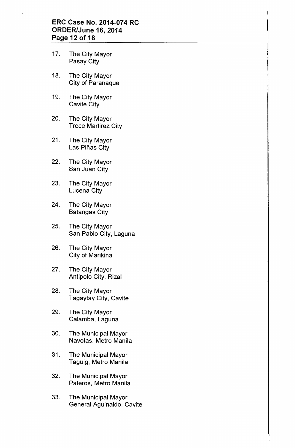## **ERC Case No. 2014-074 RC ORDER/June 16, 2014 Page 12 of 18**

- 17. The City Mayor Pasay City
- 18. The City Mayor City of Parañaque
- 19. The City Mayor Cavite City
- 20. The City Mayor Trece Martirez City
- 21. The City Mayor Las Piñas City
- 22. The City Mayor San Juan City
- 23. The City Mayor Lucena City
- 24. The City Mayor Batangas City
- 25. The City Mayor San Pablo City, Laguna
- 26. The City Mayor City of Marikina
- 27. The City Mayor Antipolo City, Rizal
- 28. The City Mayor Tagaytay City, Cavite
- 29. The City Mayor Calamba, Laguna
- 30. The Municipal Mayor Navotas, Metro Manila
- 31. The Municipal Mayor Taguig, Metro Manila
- 32. The Municipal Mayor Pateros, Metro Manila
- 33. The Municipal Mayor General Aguinaldo, Cavite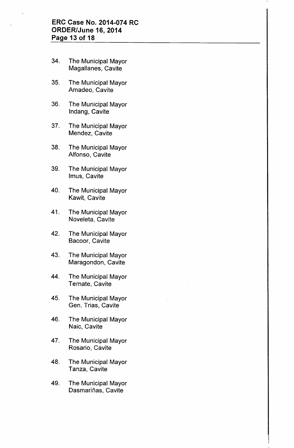## **ERC Case No. 2014-074 RC ORDER/June 16, 2014 Page 13 of 18**

- 34. The Municipal Mayor Magallanes, Cavite
- 35. The Municipal Mayor Amadeo, Cavite
- 36. The Municipal Mayor Indang, Cavite
- 37. The Municipal Mayor Mendez, Cavite
- 38. The Municipal Mayor Alfonso, Cavite
- 39. The Municipal Mayor Imus, Cavite
- 40. The Municipal Mayor Kawit, Cavite
- 41. The Municipal Mayor Noveleta, Cavite
- 42. The Municipal Mayor Bacoor, Cavite
- 43. The Municipal Mayor Maragondon, Cavite
- 44. The Municipal Mayor Ternate, Cavite
- 45. The Municipal Mayor Gen. Trias, Cavite
- 46. The Municipal Mayor Naic, Cavite
- 47. The Municipal Mayor Rosario, Cavite
- 48. The Municipal Mayor Tanza, Cavite
- 49. The Municipal Mayor Dasmariñas, Cavite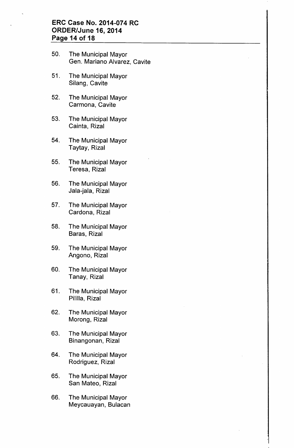### **ERC Case No. 2014-074 RC ORDER/June 16, 2014 Page 14 of 18**

- 50. The Municipal Mayor Gen. Mariano Alvarez, Cavite
- 51. The Municipal Mayor Silang, Cavite
- 52. The Municipal Mayor Carmona, Cavite
- 53. The Municipal Mayor Cainta, Rizal
- 54. The Municipal Mayor Taytay, Rizal
- 55. The Municipal Mayor Teresa, Rizal
- 56. The Municipal Mayor Jala-jala, Rizal
- 57. The Municipal Mayor Cardona, Rizal
- 58. The Municipal Mayor Baras, Rizal
- 59. The Municipal Mayor Angono, Rizal
- 60. The Municipal Mayor Tanay, Rizal
- 61. The Municipal Mayor Pililla, Rizal
- 62. The Municipal Mayor Morong, Rizal
- 63. The Municipal Mayor Binangonan, Rizal
- 64. The Municipal Mayor Rodriguez, Rizal
- 65. The Municipal Mayor San Mateo, Rizal
- 66. The Municipal Mayor Meycauayan, Bulacan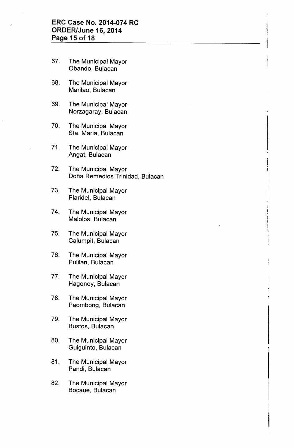- 67. The Municipal Mayor Obando, Bulacan
- 68. The Municipal Mayor Marilao, Bulacan
- 69. The Municipal Mayor Norzagaray, Bulacan
- 70. The Municipal Mayor Sta. Maria, Bulacan
- 71. The Municipal Mayor Angat, Bulacan
- 72. The Municipal Mayor Doña Remedios Trinidad, Bulacan
- 73. The Municipal Mayor Plaridel, Bulacan
- 74. The Municipal Mayor Malolos, Bulacan
- 75. The Municipal Mayor Calumpit, Bulacan
- 76. The Municipal Mayor Pulilan, Bulacan
- 77. The Municipal Mayor Hagonoy, Bulacan
- 78. The Municipal Mayor Paombong, Bulacan
- 79. The Municipal Mayor Bustos, Bulacan
- 80. The Municipal Mayor Guiguinto, Bulacan
- 81. The Municipal Mayor Pandi, Bulacan
- 82. The Municipal Mayor Bocaue, Bulacan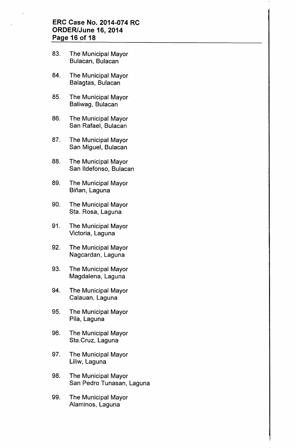## **ERC Case No. 2014-074 RC ORDER/June 16, 2014 Page 16 of 18**

- 83. The Municipal Mayor Bulacan, Bulacan
- 84. The Municipal Mayor Balagtas, Bulacan
- 85. The Municipal Mayor Baliwag, Bulacan
- 86. The Municipal Mayor San Rafael, Bulacan
- 87. The Municipal Mayor San Miguel, Bulacan
- 88. The Municipal Mayor San IIdefonso, Bulacan
- 89. The Municipal Mayor Biñan, Laguna
- 90. The Municipal Mayor Sta. Rosa, Laguna
- 91. The Municipal Mayor Victoria, Laguna
- 92. The Municipal Mayor Nagcardan, Laguna
- 93. The Municipal Mayor Magdalena, Laguna
- 94. The Municipal Mayor Calauan, Laguna
- 95. The Municipal Mayor Pila, Laguna
- 96. The Municipal Mayor Sta.Cruz, Laguna
- 97. The Municipal Mayor Liliw, Laguna
- 98. The Municipal Mayor San Pedro Tunasan, Laguna
- 99. The Municipal Mayor Alaminos, Laguna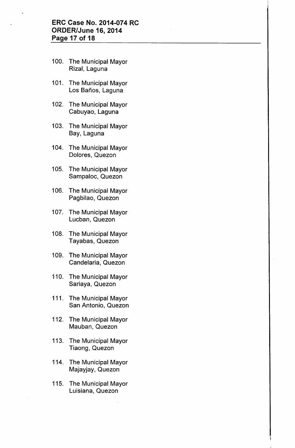## **ERC Case No. 2014-074 RC ORDER/June 16, 2014 Page 17 of 18**

- 100. The Municipal Mayor Rizal, Laguna
- 101. The Municipal Mayor Los Baños, Laguna
- 102. The Municipal Mayor Cabuyao, Laguna
- 103. The Municipal Mayor Bay, Laguna
- 104. The Municipal Mayor Dolores, Quezon
- 105. The Municipal Mayor Sampaloc, Quezon
- 106. The Municipal Mayor Pagbilao, Quezon
- 107. The Municipal Mayor Lucban, Quezon
- 108. The Municipal Mayor Tayabas, Quezon
- 109. The Municipal Mayor Candelaria, Quezon
- 110. The Municipal Mayor Sariaya, Quezon
- 111. The Municipal Mayor San Antonio, Quezon
- 112. The Municipal Mayor Mauban, Quezon
- 113. The Municipal Mayor Tiaong, Quezon
- 114. The Municipal Mayor Majayjay, Quezon
- 115. The Municipal Mayor Luisiana, Quezon